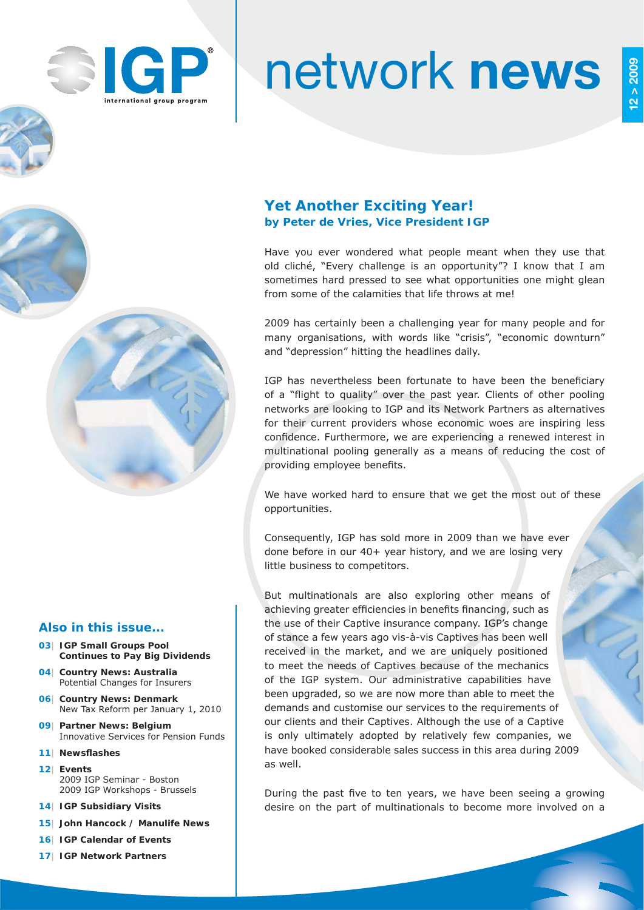

# network **news**

## **Yet Another Exciting Year! by Peter de Vries, Vice President IGP**

Have you ever wondered what people meant when they use that old cliché, "Every challenge is an opportunity"? I know that I am sometimes hard pressed to see what opportunities one might glean from some of the calamities that life throws at me!

2009 has certainly been a challenging year for many people and for many organisations, with words like "crisis", "economic downturn" and "depression" hitting the headlines daily.

IGP has nevertheless been fortunate to have been the beneficiary of a "flight to quality" over the past year. Clients of other pooling networks are looking to IGP and its Network Partners as alternatives for their current providers whose economic woes are inspiring less confidence. Furthermore, we are experiencing a renewed interest in multinational pooling generally as a means of reducing the cost of providing employee benefits.

We have worked hard to ensure that we get the most out of these opportunities.

Consequently, IGP has sold more in 2009 than we have ever done before in our 40+ year history, and we are losing very little business to competitors.

But multinationals are also exploring other means of achieving greater efficiencies in benefits financing, such as the use of their Captive insurance company. IGP's change of stance a few years ago vis-à-vis Captives has been well received in the market, and we are uniquely positioned to meet the needs of Captives because of the mechanics of the IGP system. Our administrative capabilities have been upgraded, so we are now more than able to meet the demands and customise our services to the requirements of our clients and their Captives. Although the use of a Captive is only ultimately adopted by relatively few companies, we have booked considerable sales success in this area during 2009 as well.

During the past five to ten years, we have been seeing a growing desire on the part of multinationals to become more involved on a

#### **Also in this issue...**

- **03| IGP Small Groups Pool Continues to Pay Big Dividends**
- **04| Country News: Australia** Potential Changes for Insurers
- **06| Country News: Denmark** New Tax Reform per January 1, 2010
- **09| Partner News: Belgium** Innovative Services for Pension Funds
- **11** Newsflashes
- **12| Events** 2009 IGP Seminar - Boston 2009 IGP Workshops - Brussels
- **14| IGP Subsidiary Visits**
- **15| John Hancock / Manulife News**
- **16| IGP Calendar of Events**
- **17| IGP Network Partners**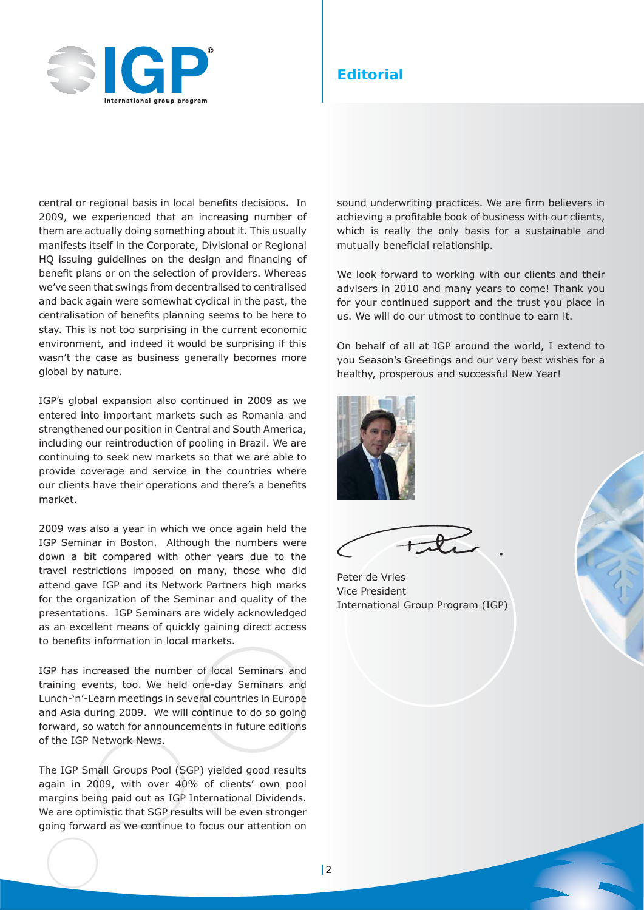

## **Editorial**

central or regional basis in local benefits decisions. In 2009, we experienced that an increasing number of them are actually doing something about it. This usually manifests itself in the Corporate, Divisional or Regional HQ issuing guidelines on the design and financing of benefit plans or on the selection of providers. Whereas we've seen that swings from decentralised to centralised and back again were somewhat cyclical in the past, the centralisation of benefits planning seems to be here to stay. This is not too surprising in the current economic environment, and indeed it would be surprising if this wasn't the case as business generally becomes more global by nature.

IGP's global expansion also continued in 2009 as we entered into important markets such as Romania and strengthened our position in Central and South America, including our reintroduction of pooling in Brazil. We are continuing to seek new markets so that we are able to provide coverage and service in the countries where our clients have their operations and there's a benefits market.

2009 was also a year in which we once again held the IGP Seminar in Boston. Although the numbers were down a bit compared with other years due to the travel restrictions imposed on many, those who did attend gave IGP and its Network Partners high marks for the organization of the Seminar and quality of the presentations. IGP Seminars are widely acknowledged as an excellent means of quickly gaining direct access to benefits information in local markets.

IGP has increased the number of local Seminars and training events, too. We held one-day Seminars and Lunch-'n'-Learn meetings in several countries in Europe and Asia during 2009. We will continue to do so going forward, so watch for announcements in future editions of the IGP Network News.

The IGP Small Groups Pool (SGP) yielded good results again in 2009, with over 40% of clients' own pool margins being paid out as IGP International Dividends. We are optimistic that SGP results will be even stronger going forward as we continue to focus our attention on sound underwriting practices. We are firm believers in achieving a profitable book of business with our clients, which is really the only basis for a sustainable and mutually beneficial relationship.

We look forward to working with our clients and their advisers in 2010 and many years to come! Thank you for your continued support and the trust you place in us. We will do our utmost to continue to earn it.

On behalf of all at IGP around the world, I extend to you Season's Greetings and our very best wishes for a healthy, prosperous and successful New Year!



Peter de Vries Vice President International Group Program (IGP)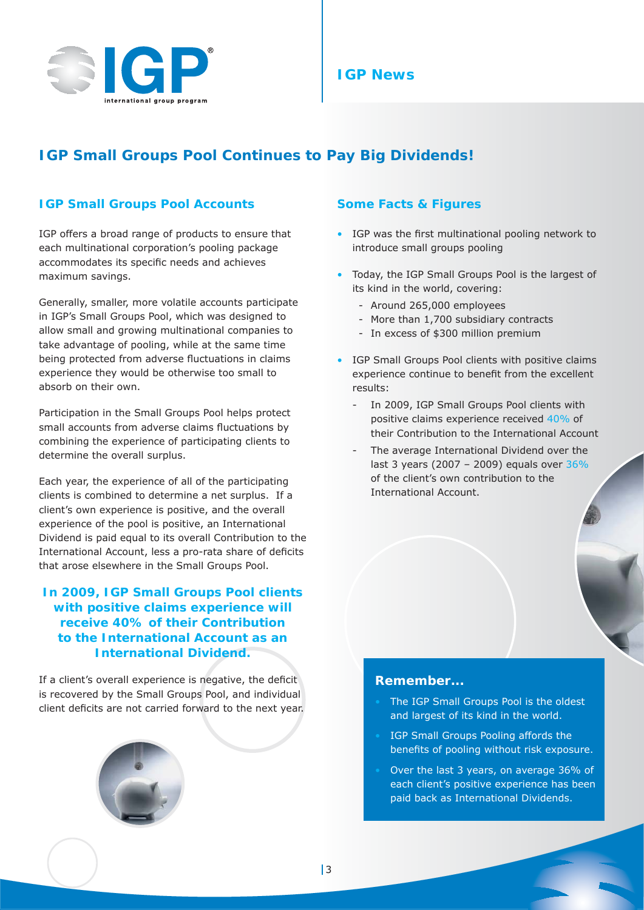

## **IGP News**

## **IGP Small Groups Pool Continues to Pay Big Dividends!**

### **IGP Small Groups Pool Accounts**

IGP offers a broad range of products to ensure that each multinational corporation's pooling package accommodates its specific needs and achieves maximum savings.

Generally, smaller, more volatile accounts participate in IGP's Small Groups Pool, which was designed to allow small and growing multinational companies to take advantage of pooling, while at the same time being protected from adverse fluctuations in claims experience they would be otherwise too small to absorb on their own.

Participation in the Small Groups Pool helps protect small accounts from adverse claims fluctuations by combining the experience of participating clients to determine the overall surplus.

Each year, the experience of all of the participating clients is combined to determine a net surplus. If a client's own experience is positive, and the overall experience of the pool is positive, an International Dividend is paid equal to its overall Contribution to the International Account, less a pro-rata share of deficits that arose elsewhere in the Small Groups Pool.

**In 2009, IGP Small Groups Pool clients with positive claims experience will receive 40% of their Contribution to the International Account as an International Dividend.**

If a client's overall experience is negative, the deficit is recovered by the Small Groups Pool, and individual client deficits are not carried forward to the next year.



#### **Some Facts & Figures**

- IGP was the first multinational pooling network to introduce small groups pooling
- Today, the IGP Small Groups Pool is the largest of its kind in the world, covering:
	- Around 265,000 employees
	- More than 1,700 subsidiary contracts
	- In excess of \$300 million premium
- IGP Small Groups Pool clients with positive claims experience continue to benefit from the excellent results:
	- In 2009, IGP Small Groups Pool clients with positive claims experience received 40% of their Contribution to the International Account
	- The average International Dividend over the last 3 years (2007 – 2009) equals over 36% of the client's own contribution to the International Account.

#### **Remember...**

- The IGP Small Groups Pool is the oldest and largest of its kind in the world.
- IGP Small Groups Pooling affords the benefits of pooling without risk exposure.
- Over the last 3 years, on average 36% of each client's positive experience has been paid back as International Dividends.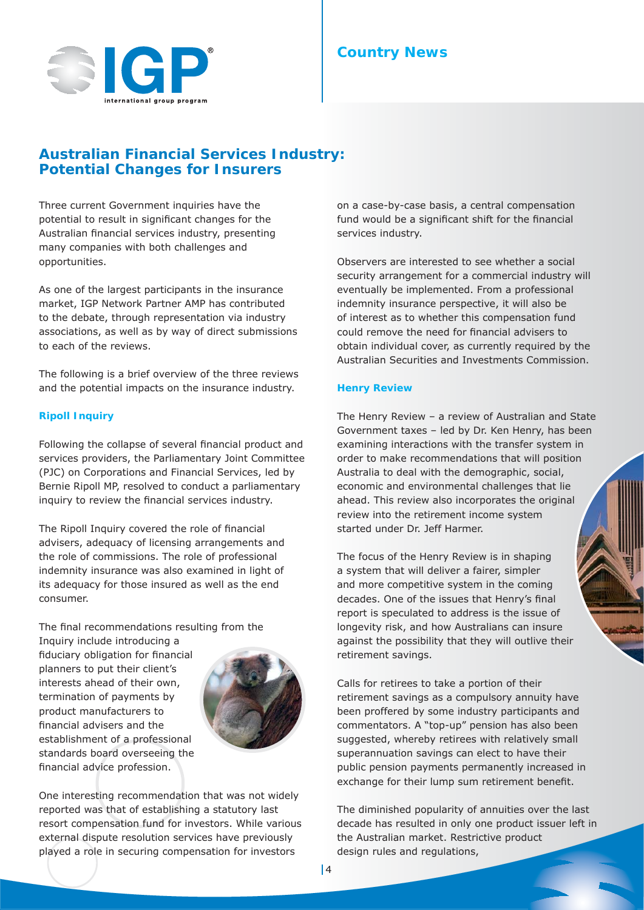

## **Australian Financial Services Industry: Potential Changes for Insurers**

Three current Government inquiries have the potential to result in significant changes for the Australian financial services industry, presenting many companies with both challenges and opportunities.

As one of the largest participants in the insurance market, IGP Network Partner AMP has contributed to the debate, through representation via industry associations, as well as by way of direct submissions to each of the reviews.

The following is a brief overview of the three reviews and the potential impacts on the insurance industry.

#### **Ripoll Inquiry**

Following the collapse of several financial product and services providers, the Parliamentary Joint Committee (PJC) on Corporations and Financial Services, led by Bernie Ripoll MP, resolved to conduct a parliamentary inquiry to review the financial services industry.

The Ripoll Inquiry covered the role of financial advisers, adequacy of licensing arrangements and the role of commissions. The role of professional indemnity insurance was also examined in light of its adequacy for those insured as well as the end consumer.

The final recommendations resulting from the

Inquiry include introducing a fiduciary obligation for financial planners to put their client's interests ahead of their own, termination of payments by product manufacturers to financial advisers and the establishment of a professional standards board overseeing the financial advice profession.



One interesting recommendation that was not widely reported was that of establishing a statutory last resort compensation fund for investors. While various external dispute resolution services have previously played a role in securing compensation for investors

on a case-by-case basis, a central compensation fund would be a significant shift for the financial services industry.

Observers are interested to see whether a social security arrangement for a commercial industry will eventually be implemented. From a professional indemnity insurance perspective, it will also be of interest as to whether this compensation fund could remove the need for financial advisers to obtain individual cover, as currently required by the Australian Securities and Investments Commission.

#### **Henry Review**

The Henry Review – a review of Australian and State Government taxes – led by Dr. Ken Henry, has been examining interactions with the transfer system in order to make recommendations that will position Australia to deal with the demographic, social, economic and environmental challenges that lie ahead. This review also incorporates the original review into the retirement income system started under Dr. Jeff Harmer.

The focus of the Henry Review is in shaping a system that will deliver a fairer, simpler and more competitive system in the coming decades. One of the issues that Henry's final report is speculated to address is the issue of longevity risk, and how Australians can insure against the possibility that they will outlive their retirement savings.

Calls for retirees to take a portion of their retirement savings as a compulsory annuity have been proffered by some industry participants and commentators. A "top-up" pension has also been suggested, whereby retirees with relatively small superannuation savings can elect to have their public pension payments permanently increased in exchange for their lump sum retirement benefit.

The diminished popularity of annuities over the last decade has resulted in only one product issuer left in the Australian market. Restrictive product design rules and regulations,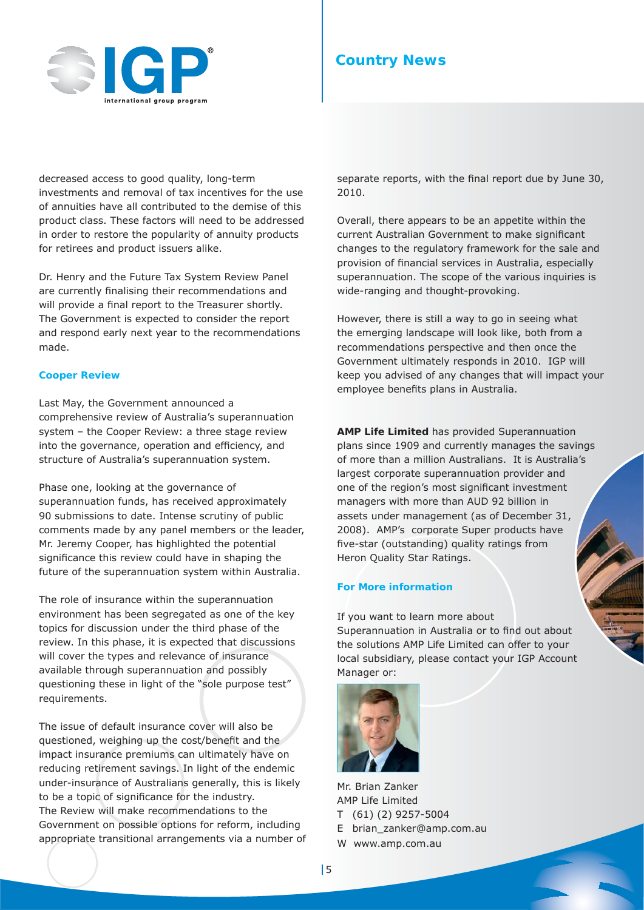

decreased access to good quality, long-term investments and removal of tax incentives for the use of annuities have all contributed to the demise of this product class. These factors will need to be addressed in order to restore the popularity of annuity products for retirees and product issuers alike.

Dr. Henry and the Future Tax System Review Panel are currently finalising their recommendations and will provide a final report to the Treasurer shortly. The Government is expected to consider the report and respond early next year to the recommendations made.

#### **Cooper Review**

Last May, the Government announced a comprehensive review of Australia's superannuation system – the Cooper Review: a three stage review into the governance, operation and efficiency, and structure of Australia's superannuation system.

Phase one, looking at the governance of superannuation funds, has received approximately 90 submissions to date. Intense scrutiny of public comments made by any panel members or the leader, Mr. Jeremy Cooper, has highlighted the potential significance this review could have in shaping the future of the superannuation system within Australia.

The role of insurance within the superannuation environment has been segregated as one of the key topics for discussion under the third phase of the review. In this phase, it is expected that discussions will cover the types and relevance of insurance available through superannuation and possibly questioning these in light of the "sole purpose test" requirements.

The issue of default insurance cover will also be questioned, weighing up the cost/benefit and the impact insurance premiums can ultimately have on reducing retirement savings. In light of the endemic under-insurance of Australians generally, this is likely to be a topic of significance for the industry. The Review will make recommendations to the Government on possible options for reform, including appropriate transitional arrangements via a number of separate reports, with the final report due by June 30, 2010.

Overall, there appears to be an appetite within the current Australian Government to make significant changes to the regulatory framework for the sale and provision of financial services in Australia, especially superannuation. The scope of the various inquiries is wide-ranging and thought-provoking.

However, there is still a way to go in seeing what the emerging landscape will look like, both from a recommendations perspective and then once the Government ultimately responds in 2010. IGP will keep you advised of any changes that will impact your employee benefits plans in Australia.

**AMP Life Limited** has provided Superannuation plans since 1909 and currently manages the savings of more than a million Australians. It is Australia's largest corporate superannuation provider and one of the region's most significant investment managers with more than AUD 92 billion in assets under management (as of December 31, 2008). AMP's corporate Super products have five-star (outstanding) quality ratings from Heron Quality Star Ratings.

#### **For More information**

If you want to learn more about Superannuation in Australia or to find out about the solutions AMP Life Limited can offer to your local subsidiary, please contact your IGP Account Manager or:



Mr. Brian Zanker AMP Life Limited T (61) (2) 9257-5004 E brian\_zanker@amp.com.au W www.amp.com.au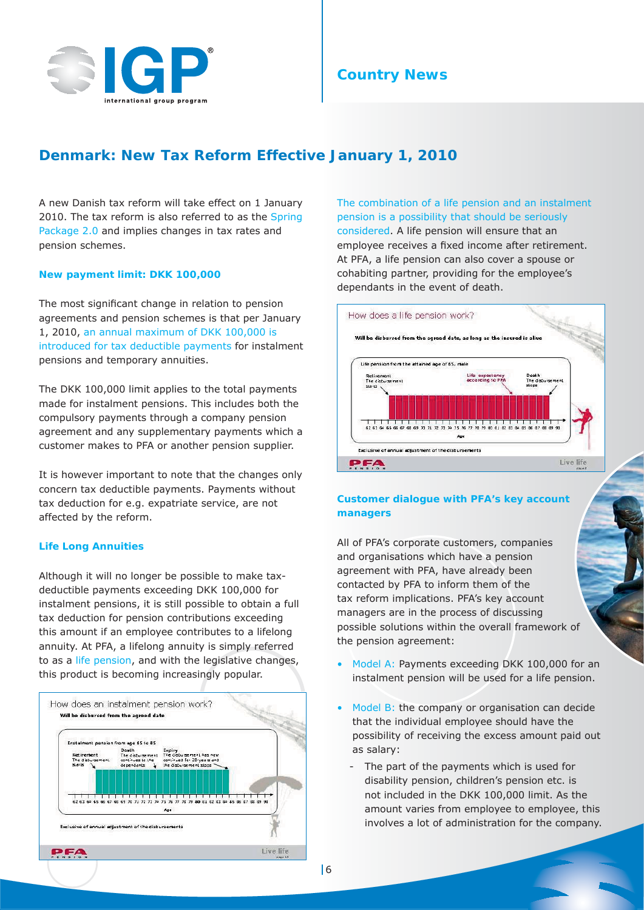

## **Denmark: New Tax Reform Effective January 1, 2010**

A new Danish tax reform will take effect on 1 January 2010. The tax reform is also referred to as the Spring Package 2.0 and implies changes in tax rates and pension schemes.

#### **New payment limit: DKK 100,000**

The most significant change in relation to pension agreements and pension schemes is that per January 1, 2010, an annual maximum of DKK 100,000 is introduced for tax deductible payments for instalment pensions and temporary annuities.

The DKK 100,000 limit applies to the total payments made for instalment pensions. This includes both the compulsory payments through a company pension agreement and any supplementary payments which a customer makes to PFA or another pension supplier.

It is however important to note that the changes only concern tax deductible payments. Payments without tax deduction for e.g. expatriate service, are not affected by the reform.

#### **Life Long Annuities**

Although it will no longer be possible to make taxdeductible payments exceeding DKK 100,000 for instalment pensions, it is still possible to obtain a full tax deduction for pension contributions exceeding this amount if an employee contributes to a lifelong annuity. At PFA, a lifelong annuity is simply referred to as a life pension, and with the legislative changes, this product is becoming increasingly popular.



The combination of a life pension and an instalment pension is a possibility that should be seriously considered. A life pension will ensure that an employee receives a fixed income after retirement. At PFA, a life pension can also cover a spouse or cohabiting partner, providing for the employee's dependants in the event of death.



#### **Customer dialogue with PFA's key account managers**

All of PFA's corporate customers, companies and organisations which have a pension agreement with PFA, have already been contacted by PFA to inform them of the tax reform implications. PFA's key account managers are in the process of discussing possible solutions within the overall framework of the pension agreement:

- Model A: Payments exceeding DKK 100,000 for an instalment pension will be used for a life pension.
- Model B: the company or organisation can decide that the individual employee should have the possibility of receiving the excess amount paid out as salary:
	- The part of the payments which is used for disability pension, children's pension etc. is not included in the DKK 100,000 limit. As the amount varies from employee to employee, this involves a lot of administration for the company.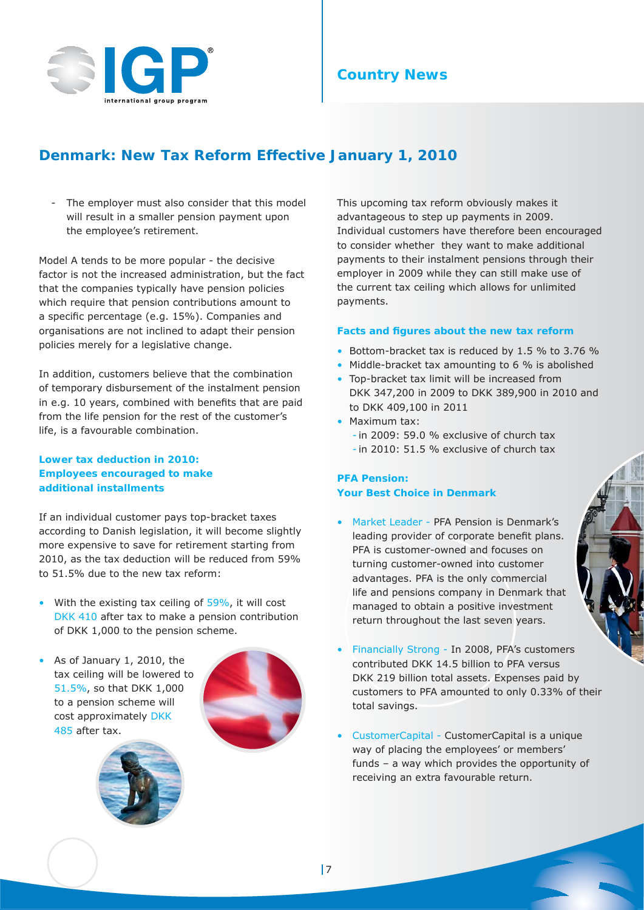

## **Denmark: New Tax Reform Effective January 1, 2010**

The employer must also consider that this model will result in a smaller pension payment upon the employee's retirement.

Model A tends to be more popular - the decisive factor is not the increased administration, but the fact that the companies typically have pension policies which require that pension contributions amount to a specific percentage (e.g. 15%). Companies and organisations are not inclined to adapt their pension policies merely for a legislative change.

In addition, customers believe that the combination of temporary disbursement of the instalment pension in e.g. 10 years, combined with benefits that are paid from the life pension for the rest of the customer's life, is a favourable combination.

#### **Lower tax deduction in 2010: Employees encouraged to make additional installments**

If an individual customer pays top-bracket taxes according to Danish legislation, it will become slightly more expensive to save for retirement starting from 2010, as the tax deduction will be reduced from 59% to 51.5% due to the new tax reform:

- With the existing tax ceiling of  $59\%$ , it will cost DKK 410 after tax to make a pension contribution of DKK 1,000 to the pension scheme.
- As of January 1, 2010, the tax ceiling will be lowered to 51.5%, so that DKK 1,000 to a pension scheme will cost approximately DKK 485 after tax.





This upcoming tax reform obviously makes it advantageous to step up payments in 2009. Individual customers have therefore been encouraged to consider whether they want to make additional payments to their instalment pensions through their employer in 2009 while they can still make use of the current tax ceiling which allows for unlimited payments.

#### **Facts and figures about the new tax reform**

- Bottom-bracket tax is reduced by 1.5 % to 3.76 %
- Middle-bracket tax amounting to 6 % is abolished
- Top-bracket tax limit will be increased from DKK 347,200 in 2009 to DKK 389,900 in 2010 and to DKK 409,100 in 2011
- Maximum tax:
	- in 2009: 59.0 % exclusive of church tax
	- in 2010: 51.5 % exclusive of church tax

#### **PFA Pension: Your Best Choice in Denmark**

- Market Leader PFA Pension is Denmark's leading provider of corporate benefit plans. PFA is customer-owned and focuses on turning customer-owned into customer advantages. PFA is the only commercial life and pensions company in Denmark that managed to obtain a positive investment return throughout the last seven years.
- Financially Strong In 2008, PFA's customers contributed DKK 14.5 billion to PFA versus DKK 219 billion total assets. Expenses paid by customers to PFA amounted to only 0.33% of their total savings.
- CustomerCapital CustomerCapital is a unique way of placing the employees' or members' funds – a way which provides the opportunity of receiving an extra favourable return.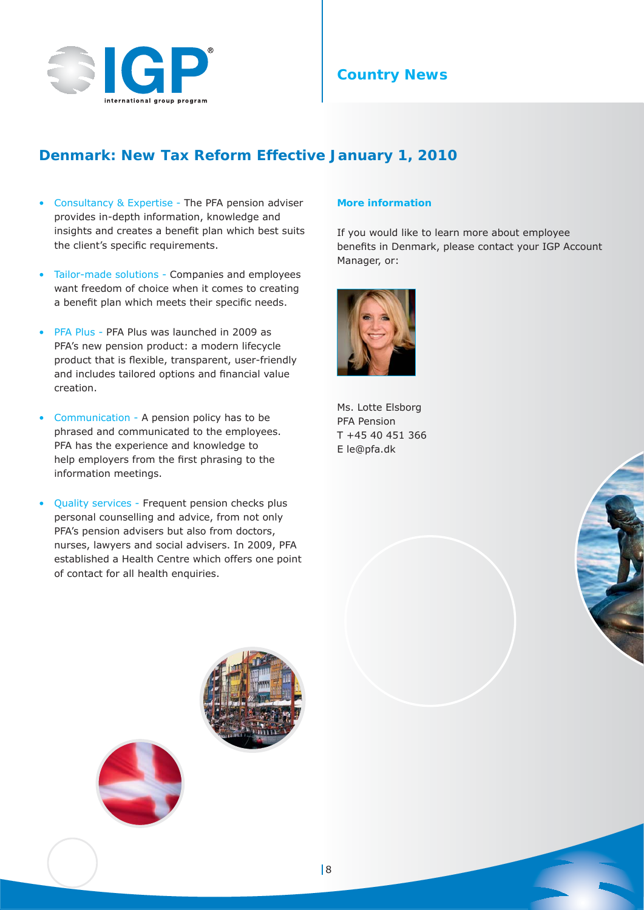

## **Denmark: New Tax Reform Effective January 1, 2010**

- Consultancy & Expertise The PFA pension adviser provides in-depth information, knowledge and insights and creates a benefit plan which best suits the client's specific requirements.
- Tailor-made solutions Companies and employees want freedom of choice when it comes to creating a benefit plan which meets their specific needs.
- PFA Plus PFA Plus was launched in 2009 as PFA's new pension product: a modern lifecycle product that is flexible, transparent, user-friendly and includes tailored options and financial value creation.
- Communication A pension policy has to be phrased and communicated to the employees. PFA has the experience and knowledge to help employers from the first phrasing to the information meetings.
- Quality services Frequent pension checks plus personal counselling and advice, from not only PFA's pension advisers but also from doctors, nurses, lawyers and social advisers. In 2009, PFA established a Health Centre which offers one point of contact for all health enquiries.

#### **More information**

If you would like to learn more about employee benefits in Denmark, please contact your IGP Account Manager, or:



Ms. Lotte Elsborg PFA Pension T +45 40 451 366 E le@pfa.dk





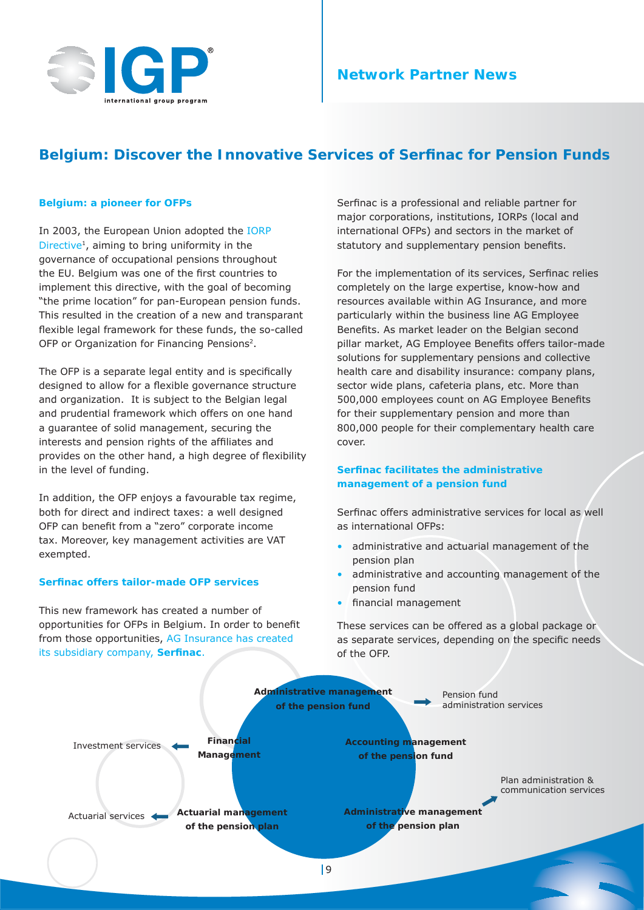

## **Network Partner News**

## **Belgium: Discover the Innovative Services of Serfinac for Pension Funds**

#### **Belgium: a pioneer for OFPs**

In 2003, the European Union adopted the IORP Directive<sup>1</sup>, aiming to bring uniformity in the governance of occupational pensions throughout the EU. Belgium was one of the first countries to implement this directive, with the goal of becoming "the prime location" for pan-European pension funds. This resulted in the creation of a new and transparant flexible legal framework for these funds, the so-called OFP or Organization for Financing Pensions<sup>2</sup>.

The OFP is a separate legal entity and is specifically designed to allow for a flexible governance structure and organization. It is subject to the Belgian legal and prudential framework which offers on one hand a guarantee of solid management, securing the interests and pension rights of the affiliates and provides on the other hand, a high degree of flexibility in the level of funding.

In addition, the OFP enjoys a favourable tax regime, both for direct and indirect taxes: a well designed OFP can benefit from a "zero" corporate income tax. Moreover, key management activities are VAT exempted.

#### **Serfinac offers tailor-made OFP services**

This new framework has created a number of opportunities for OFPs in Belgium. In order to benefit from those opportunities, AG Insurance has created its subsidiary company, Serfinac.

Serfinac is a professional and reliable partner for major corporations, institutions, IORPs (local and international OFPs) and sectors in the market of statutory and supplementary pension benefits.

For the implementation of its services, Serfinac relies completely on the large expertise, know-how and resources available within AG Insurance, and more particularly within the business line AG Employee Benefits. As market leader on the Belgian second pillar market, AG Employee Benefits offers tailor-made solutions for supplementary pensions and collective health care and disability insurance: company plans, sector wide plans, cafeteria plans, etc. More than 500,000 employees count on AG Employee Benefits for their supplementary pension and more than 800,000 people for their complementary health care cover.

#### **Serfinac facilitates the administrative management of a pension fund**

Serfinac offers administrative services for local as well as international OFPs:

- administrative and actuarial management of the pension plan
- administrative and accounting management of the pension fund
- financial management

These services can be offered as a global package or as separate services, depending on the specific needs of the OFP.

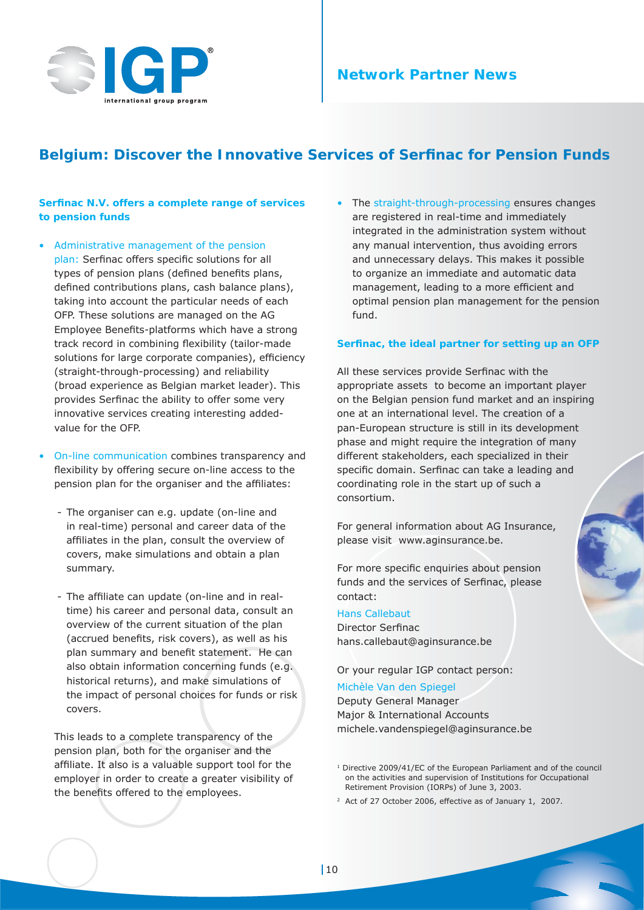

## **Network Partner News**

## **Belgium: Discover the Innovative Services of Serfinac for Pension Funds**

#### **Serfinac N.V. offers a complete range of services to pension funds**

- Administrative management of the pension plan: Serfinac offers specific solutions for all types of pension plans (defined benefits plans, defined contributions plans, cash balance plans), taking into account the particular needs of each OFP. These solutions are managed on the AG Employee Benefits-platforms which have a strong track record in combining flexibility (tailor-made solutions for large corporate companies), efficiency (straight-through-processing) and reliability (broad experience as Belgian market leader). This provides Serfinac the ability to offer some very innovative services creating interesting addedvalue for the OFP.
- On-line communication combines transparency and flexibility by offering secure on-line access to the pension plan for the organiser and the affiliates:
	- The organiser can e.g. update (on-line and in real-time) personal and career data of the affiliates in the plan, consult the overview of covers, make simulations and obtain a plan summary.
	- The affiliate can update (on-line and in realtime) his career and personal data, consult an overview of the current situation of the plan (accrued benefits, risk covers), as well as his plan summary and benefit statement. He can also obtain information concerning funds (e.g. historical returns), and make simulations of the impact of personal choices for funds or risk covers.

This leads to a complete transparency of the pension plan, both for the organiser and the affiliate. It also is a valuable support tool for the employer in order to create a greater visibility of the benefits offered to the employees.

The straight-through-processing ensures changes are registered in real-time and immediately integrated in the administration system without any manual intervention, thus avoiding errors and unnecessary delays. This makes it possible to organize an immediate and automatic data management, leading to a more efficient and optimal pension plan management for the pension fund.

#### Serfinac, the ideal partner for setting up an OFP

All these services provide Serfinac with the appropriate assets to become an important player on the Belgian pension fund market and an inspiring one at an international level. The creation of a pan-European structure is still in its development phase and might require the integration of many different stakeholders, each specialized in their specific domain. Serfinac can take a leading and coordinating role in the start up of such a consortium.

For general information about AG Insurance, please visit www.aginsurance.be.

For more specific enquiries about pension funds and the services of Serfinac, please contact:

#### Hans Callebaut

Director Serfinac hans.callebaut@aginsurance.be

Or your regular IGP contact person:

#### Michèle Van den Spiegel

Deputy General Manager Major & International Accounts michele.vandenspiegel@aginsurance.be

- 1 Directive 2009/41/EC of the European Parliament and of the council on the activities and supervision of Institutions for Occupational Retirement Provision (IORPs) of June 3, 2003.
- <sup>2</sup> Act of 27 October 2006, effective as of January 1, 2007.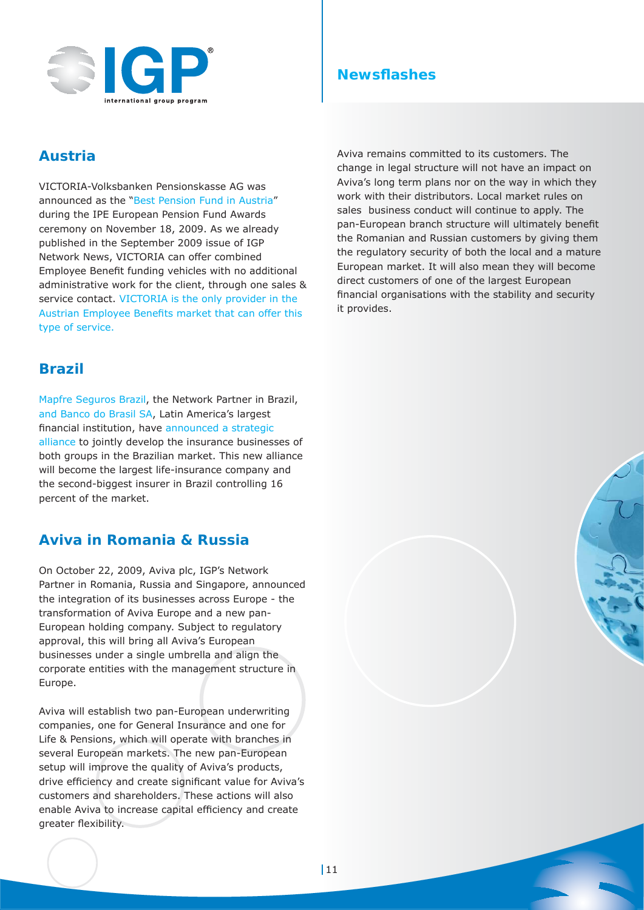

## **Newsflashes**

## **Austria**

VICTORIA-Volksbanken Pensionskasse AG was announced as the "Best Pension Fund in Austria" during the IPE European Pension Fund Awards ceremony on November 18, 2009. As we already published in the September 2009 issue of IGP Network News, VICTORIA can offer combined Employee Benefit funding vehicles with no additional administrative work for the client, through one sales & service contact. VICTORIA is the only provider in the Austrian Employee Benefits market that can offer this type of service.

## **Brazil**

Mapfre Seguros Brazil, the Network Partner in Brazil, and Banco do Brasil SA, Latin America's largest financial institution, have announced a strategic alliance to jointly develop the insurance businesses of both groups in the Brazilian market. This new alliance will become the largest life-insurance company and the second-biggest insurer in Brazil controlling 16 percent of the market.

## **Aviva in Romania & Russia**

On October 22, 2009, Aviva plc, IGP's Network Partner in Romania, Russia and Singapore, announced the integration of its businesses across Europe - the transformation of Aviva Europe and a new pan-European holding company. Subject to regulatory approval, this will bring all Aviva's European businesses under a single umbrella and align the corporate entities with the management structure in Europe.

Aviva will establish two pan-European underwriting companies, one for General Insurance and one for Life & Pensions, which will operate with branches in several European markets. The new pan-European setup will improve the quality of Aviva's products, drive efficiency and create significant value for Aviva's customers and shareholders. These actions will also enable Aviva to increase capital efficiency and create greater flexibility.

Aviva remains committed to its customers. The change in legal structure will not have an impact on Aviva's long term plans nor on the way in which they work with their distributors. Local market rules on sales business conduct will continue to apply. The pan-European branch structure will ultimately benefit the Romanian and Russian customers by giving them the regulatory security of both the local and a mature European market. It will also mean they will become direct customers of one of the largest European financial organisations with the stability and security it provides.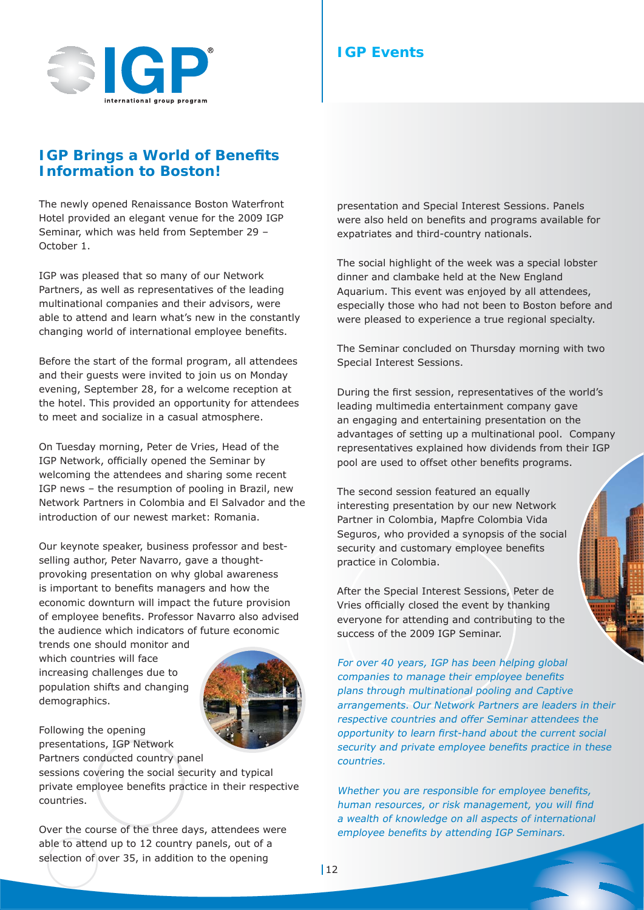

## **IGP Brings a World of Benefits Information to Boston!**

The newly opened Renaissance Boston Waterfront Hotel provided an elegant venue for the 2009 IGP Seminar, which was held from September 29 – October 1.

IGP was pleased that so many of our Network Partners, as well as representatives of the leading multinational companies and their advisors, were able to attend and learn what's new in the constantly changing world of international employee benefits.

Before the start of the formal program, all attendees and their guests were invited to join us on Monday evening, September 28, for a welcome reception at the hotel. This provided an opportunity for attendees to meet and socialize in a casual atmosphere.

On Tuesday morning, Peter de Vries, Head of the IGP Network, officially opened the Seminar by welcoming the attendees and sharing some recent IGP news – the resumption of pooling in Brazil, new Network Partners in Colombia and El Salvador and the introduction of our newest market: Romania.

Our keynote speaker, business professor and bestselling author, Peter Navarro, gave a thoughtprovoking presentation on why global awareness is important to benefits managers and how the economic downturn will impact the future provision of employee benefits. Professor Navarro also advised the audience which indicators of future economic

trends one should monitor and which countries will face increasing challenges due to population shifts and changing demographics.



Following the opening presentations, IGP Network Partners conducted country panel

sessions covering the social security and typical private employee benefits practice in their respective countries.

Over the course of the three days, attendees were able to attend up to 12 country panels, out of a selection of over 35, in addition to the opening

#### presentation and Special Interest Sessions. Panels were also held on benefits and programs available for expatriates and third-country nationals.

The social highlight of the week was a special lobster dinner and clambake held at the New England Aquarium. This event was enjoyed by all attendees, especially those who had not been to Boston before and were pleased to experience a true regional specialty.

The Seminar concluded on Thursday morning with two Special Interest Sessions.

During the first session, representatives of the world's leading multimedia entertainment company gave an engaging and entertaining presentation on the advantages of setting up a multinational pool. Company representatives explained how dividends from their IGP pool are used to offset other benefits programs.

The second session featured an equally interesting presentation by our new Network Partner in Colombia, Mapfre Colombia Vida Seguros, who provided a synopsis of the social security and customary employee benefits practice in Colombia.

After the Special Interest Sessions, Peter de Vries officially closed the event by thanking everyone for attending and contributing to the success of the 2009 IGP Seminar.

For over 40 years, IGP has been helping global companies to manage their employee benefits plans through multinational pooling and Captive arrangements. Our Network Partners are leaders in their respective countries and offer Seminar attendees the opportunity to learn first-hand about the current social security and private employee benefits practice in these countries.

Whether you are responsible for employee benefits, human resources, or risk management, you will find a wealth of knowledge on all aspects of international employee benefits by attending IGP Seminars.

**IGP Events**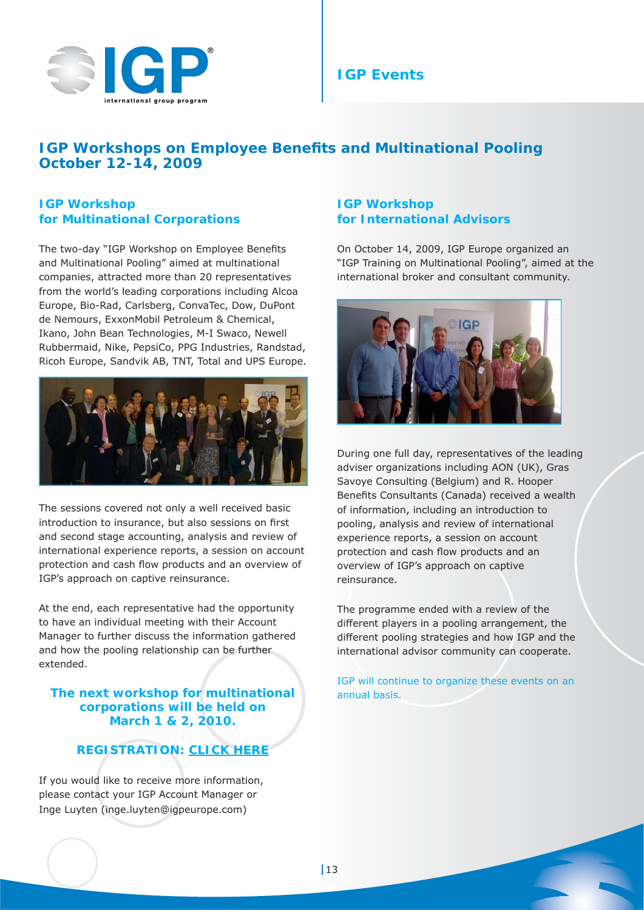

## **IGP Events**

## **IGP Workshops on Employee Benefits and Multinational Pooling October 12-14, 2009**

### **IGP Workshop for Multinational Corporations**

The two-day "IGP Workshop on Employee Benefits and Multinational Pooling" aimed at multinational companies, attracted more than 20 representatives from the world's leading corporations including Alcoa Europe, Bio-Rad, Carlsberg, ConvaTec, Dow, DuPont de Nemours, ExxonMobil Petroleum & Chemical, Ikano, John Bean Technologies, M-I Swaco, Newell Rubbermaid, Nike, PepsiCo, PPG Industries, Randstad, Ricoh Europe, Sandvik AB, TNT, Total and UPS Europe.



The sessions covered not only a well received basic introduction to insurance, but also sessions on first and second stage accounting, analysis and review of international experience reports, a session on account protection and cash flow products and an overview of IGP's approach on captive reinsurance.

At the end, each representative had the opportunity to have an individual meeting with their Account Manager to further discuss the information gathered and how the pooling relationship can be further extended.

#### **The next workshop for multinational corporations will be held on March 1 & 2, 2010.**

## **REGISTRATION: CLICK HERE**

If you would like to receive more information, please contact your IGP Account Manager or Inge Luyten (inge.luyten@igpeurope.com)

#### **IGP Workshop for International Advisors**

On October 14, 2009, IGP Europe organized an "IGP Training on Multinational Pooling", aimed at the international broker and consultant community.



During one full day, representatives of the leading adviser organizations including AON (UK), Gras Savoye Consulting (Belgium) and R. Hooper Benefits Consultants (Canada) received a wealth of information, including an introduction to pooling, analysis and review of international experience reports, a session on account protection and cash flow products and an overview of IGP's approach on captive reinsurance.

The programme ended with a review of the different players in a pooling arrangement, the different pooling strategies and how IGP and the international advisor community can cooperate.

IGP will continue to organize these events on an annual basis.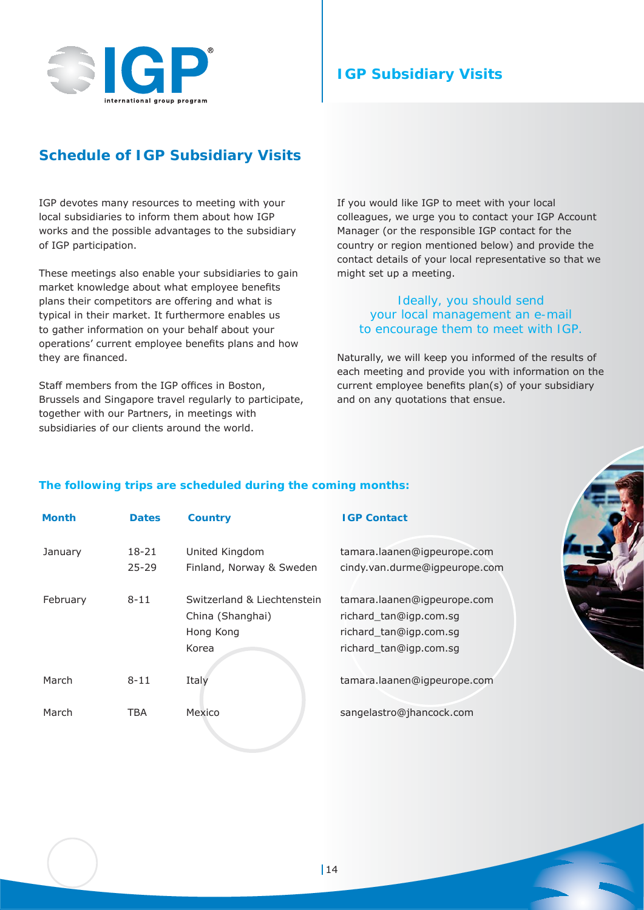

## **IGP Subsidiary Visits**

## **Schedule of IGP Subsidiary Visits**

IGP devotes many resources to meeting with your local subsidiaries to inform them about how IGP works and the possible advantages to the subsidiary of IGP participation.

These meetings also enable your subsidiaries to gain market knowledge about what employee benefits plans their competitors are offering and what is typical in their market. It furthermore enables us to gather information on your behalf about your operations' current employee benefits plans and how they are financed.

Staff members from the IGP offices in Boston, Brussels and Singapore travel regularly to participate, together with our Partners, in meetings with subsidiaries of our clients around the world.

If you would like IGP to meet with your local colleagues, we urge you to contact your IGP Account Manager (or the responsible IGP contact for the country or region mentioned below) and provide the contact details of your local representative so that we might set up a meeting.

#### *Ideally, you should send your local management an e-mail to encourage them to meet with IGP.*

Naturally, we will keep you informed of the results of each meeting and provide you with information on the current employee benefits plan(s) of your subsidiary and on any quotations that ensue.

#### **The following trips are scheduled during the coming months:**

| <b>Month</b> | <b>Dates</b>           | <b>Country</b>                                                        | <b>IGP Contact</b>                                                                                        |
|--------------|------------------------|-----------------------------------------------------------------------|-----------------------------------------------------------------------------------------------------------|
| January      | $18 - 21$<br>$25 - 29$ | United Kingdom<br>Finland, Norway & Sweden                            | tamara.laanen@igpeurope.com<br>cindy.van.durme@igpeurope.com                                              |
| February     | $8 - 11$               | Switzerland & Liechtenstein<br>China (Shanghai)<br>Hong Kong<br>Korea | tamara.laanen@igpeurope.com<br>richard_tan@igp.com.sg<br>richard_tan@igp.com.sg<br>richard_tan@igp.com.sg |
| March        | $8 - 11$               | Italy                                                                 | tamara.laanen@igpeurope.com                                                                               |
| March        | TBA                    | Mexico                                                                | sangelastro@jhancock.com                                                                                  |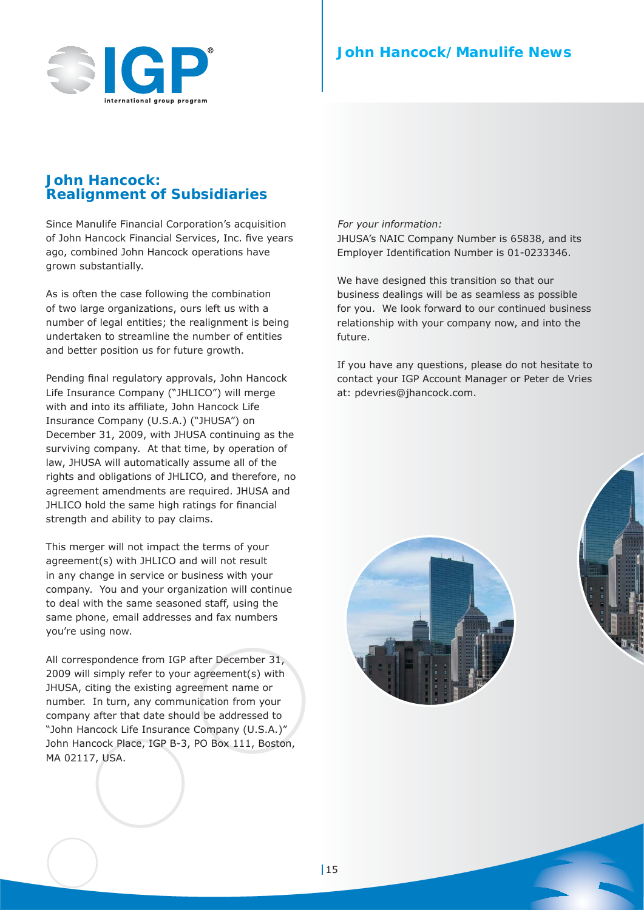

## **John Hancock: Realignment of Subsidiaries**

Since Manulife Financial Corporation's acquisition of John Hancock Financial Services, Inc. five years ago, combined John Hancock operations have grown substantially.

As is often the case following the combination of two large organizations, ours left us with a number of legal entities; the realignment is being undertaken to streamline the number of entities and better position us for future growth.

Pending final regulatory approvals, John Hancock Life Insurance Company ("JHLICO") will merge with and into its affiliate, John Hancock Life Insurance Company (U.S.A.) ("JHUSA") on December 31, 2009, with JHUSA continuing as the surviving company. At that time, by operation of law, JHUSA will automatically assume all of the rights and obligations of JHLICO, and therefore, no agreement amendments are required. JHUSA and JHLICO hold the same high ratings for financial strength and ability to pay claims.

This merger will not impact the terms of your agreement(s) with JHLICO and will not result in any change in service or business with your company. You and your organization will continue to deal with the same seasoned staff, using the same phone, email addresses and fax numbers you're using now.

All correspondence from IGP after December 31, 2009 will simply refer to your agreement(s) with JHUSA, citing the existing agreement name or number. In turn, any communication from your company after that date should be addressed to "John Hancock Life Insurance Company (U.S.A.)" John Hancock Place, IGP B-3, PO Box 111, Boston, MA 02117, USA.

#### For your information:

JHUSA's NAIC Company Number is 65838, and its Employer Identification Number is 01-0233346.

We have designed this transition so that our business dealings will be as seamless as possible for you. We look forward to our continued business relationship with your company now, and into the future.

If you have any questions, please do not hesitate to contact your IGP Account Manager or Peter de Vries at: pdevries@jhancock.com.

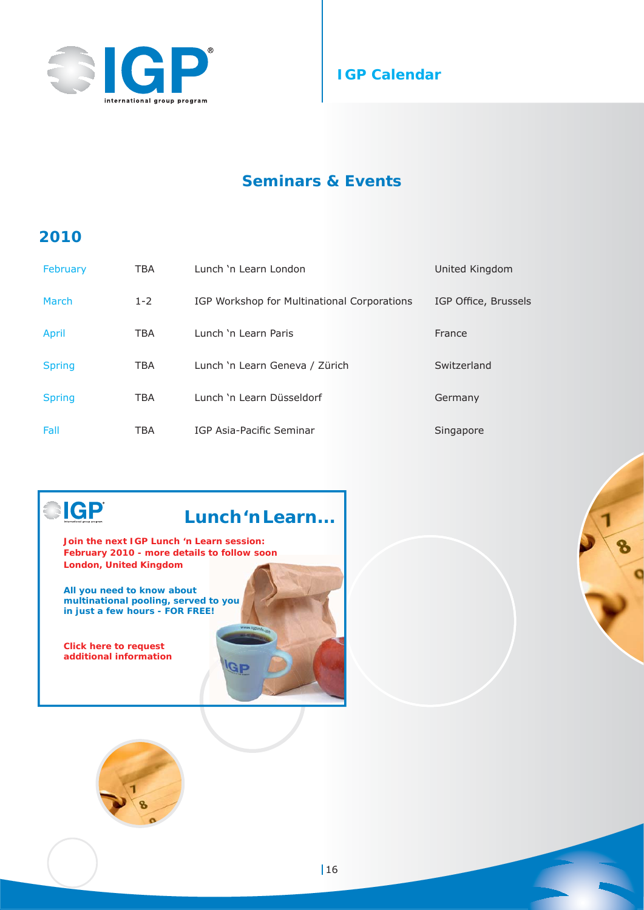



## **Seminars & Events**

## **2010**

**GP** 

| February      | TBA     | Lunch 'n Learn London                       | United Kingdom       |
|---------------|---------|---------------------------------------------|----------------------|
| March         | $1 - 2$ | IGP Workshop for Multinational Corporations | IGP Office, Brussels |
| April         | TBA     | Lunch 'n Learn Paris                        | France               |
| <b>Spring</b> | TBA     | Lunch 'n Learn Geneva / Zürich              | Switzerland          |
| <b>Spring</b> | TBA     | Lunch 'n Learn Düsseldorf                   | Germany              |
| Fall          | TBA     | IGP Asia-Pacific Seminar                    | Singapore            |

## **Lunch 'n Learn...**

 $\mathbf{G}$ P

**Join the next IGP Lunch 'n Learn session: February 2010 - more details to follow soon London, United Kingdom**

**All you need to know about multinational pooling, served to you in just a few hours - FOR FREE!**

**Click here to request additional information**

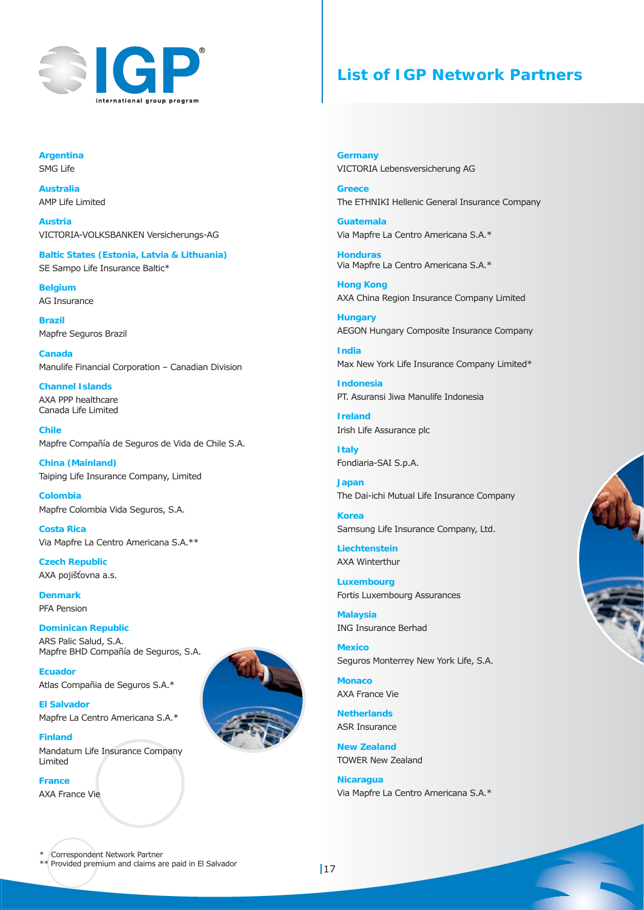

## **List of IGP Network Partners**

**Argentina** SMG Life

**Australia** AMP Life Limited

**Austria** VICTORIA-VOLKSBANKEN Versicherungs-AG

**Baltic States (Estonia, Latvia & Lithuania)** SE Sampo Life Insurance Baltic\*

**Belgium** AG Insurance

**Brazil** Mapfre Seguros Brazil

**Canada** Manulife Financial Corporation – Canadian Division

**Channel Islands** AXA PPP healthcare Canada Life Limited

**Chile** Mapfre Compañía de Seguros de Vida de Chile S.A.

**China (Mainland)** Taiping Life Insurance Company, Limited

**Colombia** Mapfre Colombia Vida Seguros, S.A.

**Costa Rica** Via Mapfre La Centro Americana S.A.\*\*

**Czech Republic** AXA pojišťovna a.s.

**Denmark** PFA Pension

**Dominican Republic** ARS Palic Salud, S.A. Mapfre BHD Compañía de Seguros, S.A.

**Ecuador** Atlas Compañia de Seguros S.A.\*

**El Salvador** Mapfre La Centro Americana S.A.\*

**Finland** Mandatum Life Insurance Company Limited

**France**  AXA France Vie

**Germany** VICTORIA Lebensversicherung AG

**Greece** The ETHNIKI Hellenic General Insurance Company

**Guatemala** Via Mapfre La Centro Americana S.A.\*

**Honduras**  Via Mapfre La Centro Americana S.A.\*

**Hong Kong** AXA China Region Insurance Company Limited

**Hungary** AEGON Hungary Composite Insurance Company

**India** Max New York Life Insurance Company Limited\*

**Indonesia** PT. Asuransi Jiwa Manulife Indonesia

**Ireland** Irish Life Assurance plc

**Italy** Fondiaria-SAI S.p.A.

**Japan** The Dai-ichi Mutual Life Insurance Company

**Korea** Samsung Life Insurance Company, Ltd.

**Liechtenstein** AXA Winterthur

**Luxembourg** Fortis Luxembourg Assurances

**Malaysia** ING Insurance Berhad

**Mexico** Seguros Monterrey New York Life, S.A.

**Monaco** AXA France Vie

**Netherlands** ASR Insurance

**New Zealand** TOWER New Zealand

**Nicaragua**  Via Mapfre La Centro Americana S.A.\*



\* Correspondent Network Partner \*\* Provided premium and claims are paid in El Salvador 17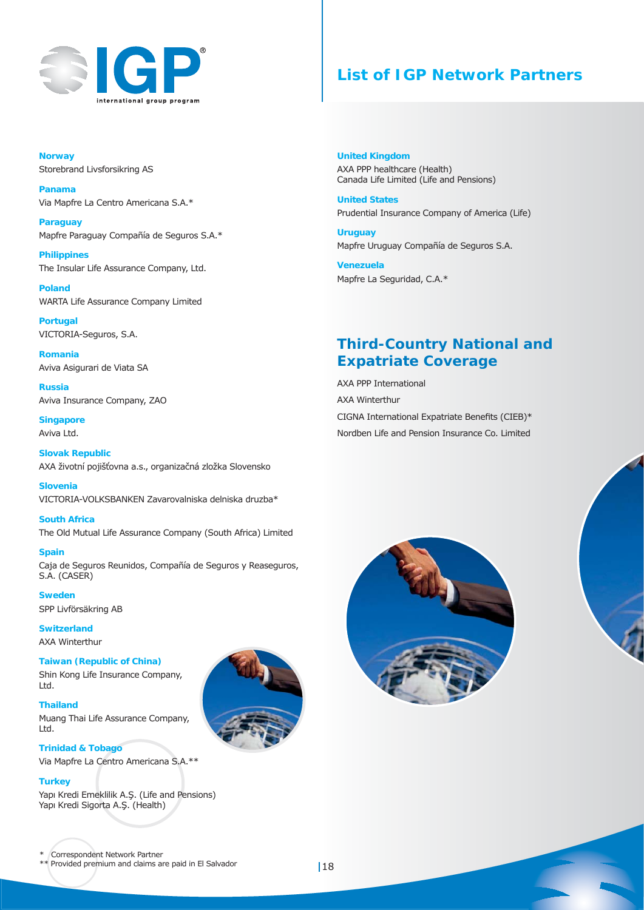

## **List of IGP Network Partners**

**Norway** Storebrand Livsforsikring AS

**Panama** Via Mapfre La Centro Americana S.A.\*

**Paraguay** Mapfre Paraguay Compañía de Seguros S.A.\*

**Philippines** The Insular Life Assurance Company, Ltd.

**Poland** WARTA Life Assurance Company Limited

**Portugal** VICTORIA-Seguros, S.A.

**Romania** Aviva Asigurari de Viata SA

**Russia** Aviva Insurance Company, ZAO

**Singapore** Aviva Ltd.

**Slovak Republic** AXA životní pojišťovna a.s., organizačná zložka Slovensko

**Slovenia** VICTORIA-VOLKSBANKEN Zavarovalniska delniska druzba\*

**South Africa** The Old Mutual Life Assurance Company (South Africa) Limited

**Spain** Caja de Seguros Reunidos, Compañía de Seguros y Reaseguros, S.A. (CASER)

**Sweden** SPP Livförsäkring AB

**Trinidad & Tobago**

**Switzerland** AXA Winterthur

**Thailand**

Ltd.

**Turkey**

**Taiwan (Republic of China)** Shin Kong Life Insurance Company, Ltd.

Muang Thai Life Assurance Company,

Via Mapfre La Centro Americana S.A.\*\*

Yapı Kredi Emeklilik A.Ş. (Life and Pensions)

**United Kingdom** AXA PPP healthcare (Health) Canada Life Limited (Life and Pensions)

**United States** Prudential Insurance Company of America (Life)

**Uruguay** Mapfre Uruguay Compañía de Seguros S.A.

**Venezuela** Mapfre La Seguridad, C.A.\*

## **Third-Country National and Expatriate Coverage**

AXA PPP International AXA Winterthur CIGNA International Expatriate Benefits (CIEB)\* Nordben Life and Pension Insurance Co. Limited





#### \* Correspondent Network Partner

Yapı Kredi Sigorta A.Ş. (Health)

\*\* Provided premium and claims are paid in El Salvador 18